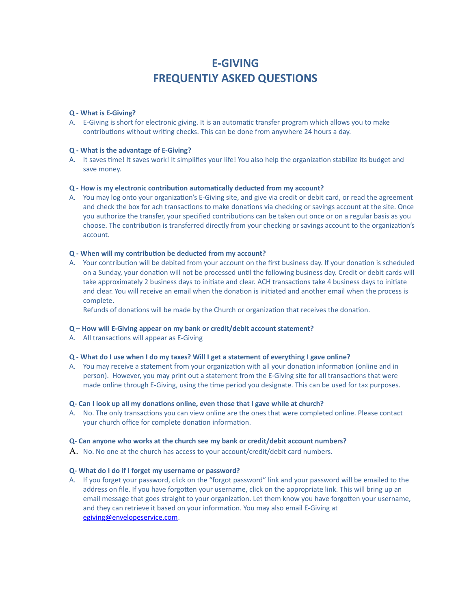# **E-GIVING FREQUENTLY ASKED QUESTIONS**

# **Q - What is E-Giving?**

A. E-Giving is short for electronic giving. It is an automatic transfer program which allows you to make contributions without writing checks. This can be done from anywhere 24 hours a day.

## **Q - What is the advantage of E-Giving?**

A. It saves time! It saves work! It simplifies your life! You also help the organization stabilize its budget and save money.

# **Q - How is my electronic contribution automatically deducted from my account?**

A. You may log onto your organization's E-Giving site, and give via credit or debit card, or read the agreement and check the box for ach transactions to make donations via checking or savings account at the site. Once you authorize the transfer, your specified contributions can be taken out once or on a regular basis as you choose. The contribution is transferred directly from your checking or savings account to the organization's account.

# **Q - When will my contribution be deducted from my account?**

A. Your contribution will be debited from your account on the first business day. If your donation is scheduled on a Sunday, your donation will not be processed until the following business day. Credit or debit cards will take approximately 2 business days to initiate and clear. ACH transactions take 4 business days to initiate and clear. You will receive an email when the donation is initiated and another email when the process is complete.

Refunds of donations will be made by the Church or organization that receives the donation.

## **Q – How will E-Giving appear on my bank or credit/debit account statement?**

A. All transactions will appear as E-Giving

## **Q - What do I use when I do my taxes? Will I get a statement of everything I gave online?**

A. You may receive a statement from your organization with all your donation information (online and in person). However, you may print out a statement from the E-Giving site for all transactions that were made online through E-Giving, using the time period you designate. This can be used for tax purposes.

## **Q- Can I look up all my donations online, even those that I gave while at church?**

A. No. The only transactions you can view online are the ones that were completed online. Please contact your church office for complete donation information.

## **Q- Can anyone who works at the church see my bank or credit/debit account numbers?**

 $A$ . No. No one at the church has access to your account/credit/debit card numbers.

## **Q- What do I do if I forget my username or password?**

A. If you forget your password, click on the "forgot password" link and your password will be emailed to the address on file. If you have forgotten your username, click on the appropriate link. This will bring up an email message that goes straight to your organization. Let them know you have forgotten your username, and they can retrieve it based on your information. You may also email E-Giving at [egiving@envelopeservice.com.](mailto:egiving@envelopeservice.com)